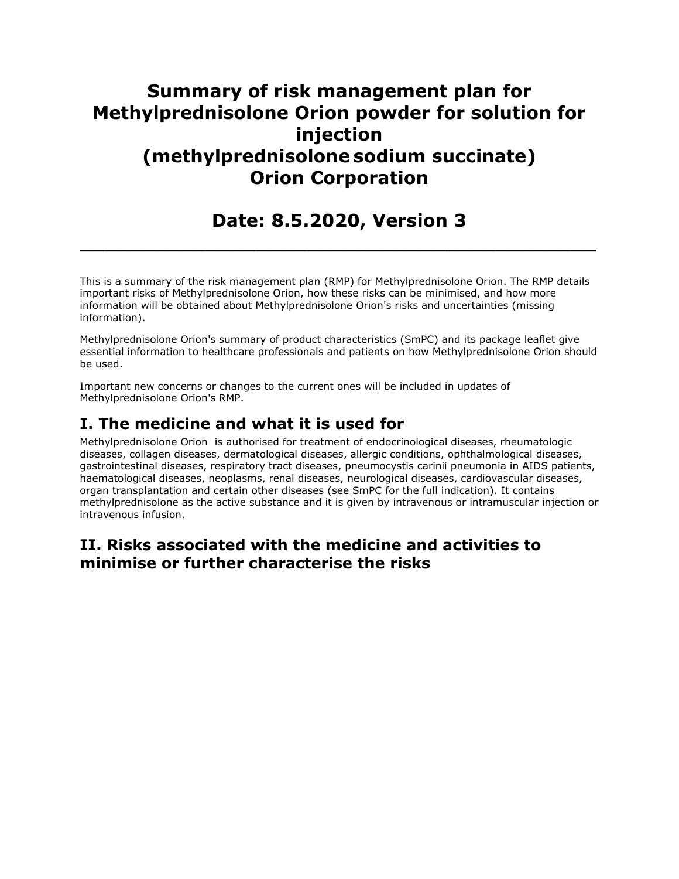# **Summary of risk management plan for Methylprednisolone Orion powder for solution for injection (methylprednisolone sodium succinate) Orion Corporation**

**Date: 8.5.2020, Version 3**

**\_\_\_\_\_\_\_\_\_\_\_\_\_\_\_\_\_\_\_\_\_\_\_\_\_\_\_\_\_\_\_\_\_\_\_\_\_\_\_\_\_**

This is a summary of the risk management plan (RMP) for Methylprednisolone Orion. The RMP details important risks of Methylprednisolone Orion, how these risks can be minimised, and how more information will be obtained about Methylprednisolone Orion's risks and uncertainties (missing information).

Methylprednisolone Orion's summary of product characteristics (SmPC) and its package leaflet give essential information to healthcare professionals and patients on how Methylprednisolone Orion should be used.

Important new concerns or changes to the current ones will be included in updates of Methylprednisolone Orion's RMP.

## **I. The medicine and what it is used for**

Methylprednisolone Orion is authorised for treatment of endocrinological diseases, rheumatologic diseases, collagen diseases, dermatological diseases, allergic conditions, ophthalmological diseases, gastrointestinal diseases, respiratory tract diseases, pneumocystis carinii pneumonia in AIDS patients, haematological diseases, neoplasms, renal diseases, neurological diseases, cardiovascular diseases, organ transplantation and certain other diseases (see SmPC for the full indication). It contains methylprednisolone as the active substance and it is given by intravenous or intramuscular injection or intravenous infusion.

## **II. Risks associated with the medicine and activities to minimise or further characterise the risks**